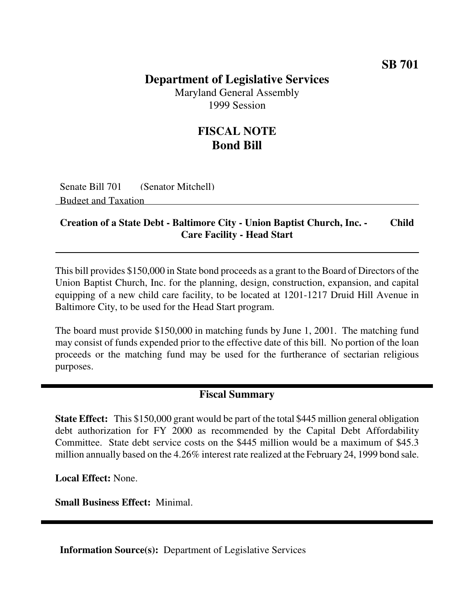### **SB 701**

## **Department of Legislative Services**

Maryland General Assembly 1999 Session

# **FISCAL NOTE Bond Bill**

Senate Bill 701 (Senator Mitchell) Budget and Taxation

### **Creation of a State Debt - Baltimore City - Union Baptist Church, Inc. - Child Care Facility - Head Start**

This bill provides \$150,000 in State bond proceeds as a grant to the Board of Directors of the Union Baptist Church, Inc. for the planning, design, construction, expansion, and capital equipping of a new child care facility, to be located at 1201-1217 Druid Hill Avenue in Baltimore City, to be used for the Head Start program.

The board must provide \$150,000 in matching funds by June 1, 2001. The matching fund may consist of funds expended prior to the effective date of this bill. No portion of the loan proceeds or the matching fund may be used for the furtherance of sectarian religious purposes.

#### **Fiscal Summary**

**State Effect:** This \$150,000 grant would be part of the total \$445 million general obligation debt authorization for FY 2000 as recommended by the Capital Debt Affordability Committee. State debt service costs on the \$445 million would be a maximum of \$45.3 million annually based on the 4.26% interest rate realized at the February 24, 1999 bond sale.

**Local Effect:** None.

**Small Business Effect:** Minimal.

**Information Source(s):** Department of Legislative Services